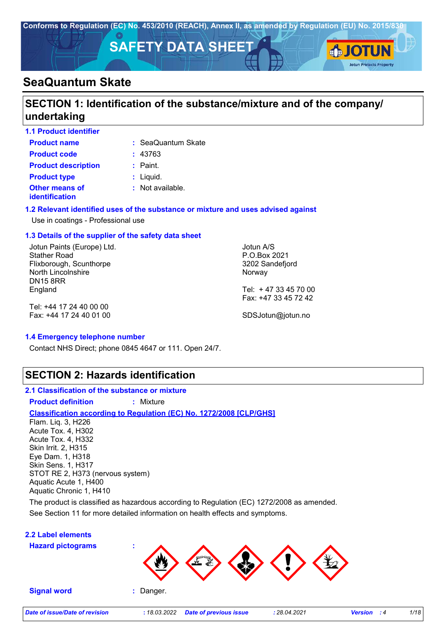

# **SECTION 1: Identification of the substance/mixture and of the company/ undertaking**

| <b>1.1 Product identifier</b>    |                             |
|----------------------------------|-----------------------------|
| <b>Product name</b>              | : SeaQuantum Skate          |
| <b>Product code</b>              | : 43763                     |
| <b>Product description</b>       | $:$ Paint.                  |
| <b>Product type</b>              | $:$ Liquid.                 |
| Other means of<br>identification | $\therefore$ Not available. |

#### **1.2 Relevant identified uses of the substance or mixture and uses advised against**

### Use in coatings - Professional use

### **1.3 Details of the supplier of the safety data sheet**

Jotun Paints (Europe) Ltd. Stather Road Flixborough, Scunthorpe North Lincolnshire DN15 8RR England

Tel: +44 17 24 40 00 00 Fax: +44 17 24 40 01 00 Jotun A/S P.O.Box 2021 3202 Sandefjord Norway

Tel: + 47 33 45 70 00 Fax: +47 33 45 72 42

SDSJotun@jotun.no

#### **1.4 Emergency telephone number**

Contact NHS Direct; phone 0845 4647 or 111. Open 24/7.

### **SECTION 2: Hazards identification**

- **2.1 Classification of the substance or mixture**
- **Product definition :** Mixture

### **Classification according to Regulation (EC) No. 1272/2008 [CLP/GHS]**

Flam. Liq. 3, H226 Acute Tox. 4, H302 Acute Tox. 4, H332 Skin Irrit. 2, H315 Eye Dam. 1, H318 Skin Sens. 1, H317 STOT RE 2, H373 (nervous system) Aquatic Acute 1, H400 Aquatic Chronic 1, H410

See Section 11 for more detailed information on health effects and symptoms. The product is classified as hazardous according to Regulation (EC) 1272/2008 as amended.

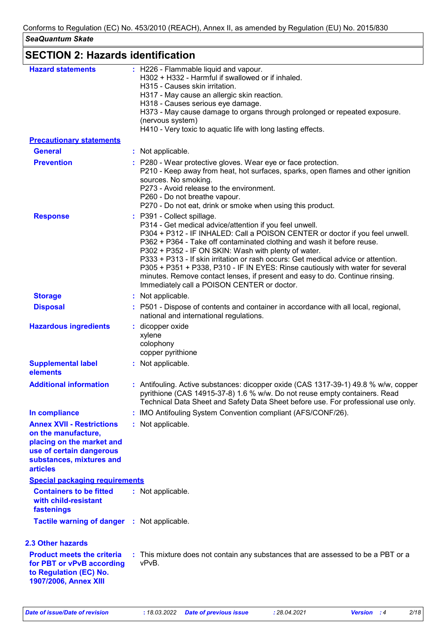| <b>Hazard statements</b>                                                     | : H226 - Flammable liquid and vapour.                                                                                                                                                                                                                                                                                |
|------------------------------------------------------------------------------|----------------------------------------------------------------------------------------------------------------------------------------------------------------------------------------------------------------------------------------------------------------------------------------------------------------------|
|                                                                              | H302 + H332 - Harmful if swallowed or if inhaled.                                                                                                                                                                                                                                                                    |
|                                                                              | H315 - Causes skin irritation.                                                                                                                                                                                                                                                                                       |
|                                                                              | H317 - May cause an allergic skin reaction.<br>H318 - Causes serious eye damage.                                                                                                                                                                                                                                     |
|                                                                              | H373 - May cause damage to organs through prolonged or repeated exposure.                                                                                                                                                                                                                                            |
|                                                                              | (nervous system)                                                                                                                                                                                                                                                                                                     |
| <b>Precautionary statements</b>                                              | H410 - Very toxic to aquatic life with long lasting effects.                                                                                                                                                                                                                                                         |
| <b>General</b>                                                               | : Not applicable.                                                                                                                                                                                                                                                                                                    |
| <b>Prevention</b>                                                            |                                                                                                                                                                                                                                                                                                                      |
|                                                                              | : P280 - Wear protective gloves. Wear eye or face protection.<br>P210 - Keep away from heat, hot surfaces, sparks, open flames and other ignition<br>sources. No smoking.<br>P273 - Avoid release to the environment.<br>P260 - Do not breathe vapour.<br>P270 - Do not eat, drink or smoke when using this product. |
| <b>Response</b>                                                              | : P391 - Collect spillage.                                                                                                                                                                                                                                                                                           |
|                                                                              | P314 - Get medical advice/attention if you feel unwell.                                                                                                                                                                                                                                                              |
|                                                                              | P304 + P312 - IF INHALED: Call a POISON CENTER or doctor if you feel unwell.                                                                                                                                                                                                                                         |
|                                                                              | P362 + P364 - Take off contaminated clothing and wash it before reuse.                                                                                                                                                                                                                                               |
|                                                                              | P302 + P352 - IF ON SKIN: Wash with plenty of water.                                                                                                                                                                                                                                                                 |
|                                                                              | P333 + P313 - If skin irritation or rash occurs: Get medical advice or attention.<br>P305 + P351 + P338, P310 - IF IN EYES: Rinse cautiously with water for several                                                                                                                                                  |
|                                                                              | minutes. Remove contact lenses, if present and easy to do. Continue rinsing.                                                                                                                                                                                                                                         |
|                                                                              | Immediately call a POISON CENTER or doctor.                                                                                                                                                                                                                                                                          |
| <b>Storage</b>                                                               | : Not applicable.                                                                                                                                                                                                                                                                                                    |
| <b>Disposal</b>                                                              | : P501 - Dispose of contents and container in accordance with all local, regional,<br>national and international regulations.                                                                                                                                                                                        |
| <b>Hazardous ingredients</b>                                                 | : dicopper oxide                                                                                                                                                                                                                                                                                                     |
|                                                                              | xylene                                                                                                                                                                                                                                                                                                               |
|                                                                              | colophony                                                                                                                                                                                                                                                                                                            |
|                                                                              | copper pyrithione                                                                                                                                                                                                                                                                                                    |
| <b>Supplemental label</b>                                                    | : Not applicable.                                                                                                                                                                                                                                                                                                    |
| elements                                                                     |                                                                                                                                                                                                                                                                                                                      |
| <b>Additional information</b>                                                | : Antifouling. Active substances: dicopper oxide (CAS 1317-39-1) 49.8 % w/w, copper<br>pyrithione (CAS 14915-37-8) 1.6 % w/w. Do not reuse empty containers. Read<br>Technical Data Sheet and Safety Data Sheet before use. For professional use only.                                                               |
| In compliance                                                                | : IMO Antifouling System Convention compliant (AFS/CONF/26).                                                                                                                                                                                                                                                         |
| <b>Annex XVII - Restrictions</b>                                             | : Not applicable.                                                                                                                                                                                                                                                                                                    |
| on the manufacture,                                                          |                                                                                                                                                                                                                                                                                                                      |
| placing on the market and                                                    |                                                                                                                                                                                                                                                                                                                      |
| use of certain dangerous                                                     |                                                                                                                                                                                                                                                                                                                      |
| substances, mixtures and<br><b>articles</b>                                  |                                                                                                                                                                                                                                                                                                                      |
|                                                                              |                                                                                                                                                                                                                                                                                                                      |
| <b>Special packaging requirements</b>                                        |                                                                                                                                                                                                                                                                                                                      |
| <b>Containers to be fitted</b><br>with child-resistant                       | : Not applicable.                                                                                                                                                                                                                                                                                                    |
| fastenings                                                                   |                                                                                                                                                                                                                                                                                                                      |
|                                                                              |                                                                                                                                                                                                                                                                                                                      |
| Tactile warning of danger : Not applicable.                                  |                                                                                                                                                                                                                                                                                                                      |
| <b>2.3 Other hazards</b>                                                     |                                                                                                                                                                                                                                                                                                                      |
| <b>Product meets the criteria</b>                                            | : This mixture does not contain any substances that are assessed to be a PBT or a                                                                                                                                                                                                                                    |
| for PBT or vPvB according<br>to Regulation (EC) No.<br>1907/2006, Annex XIII | vPvB.                                                                                                                                                                                                                                                                                                                |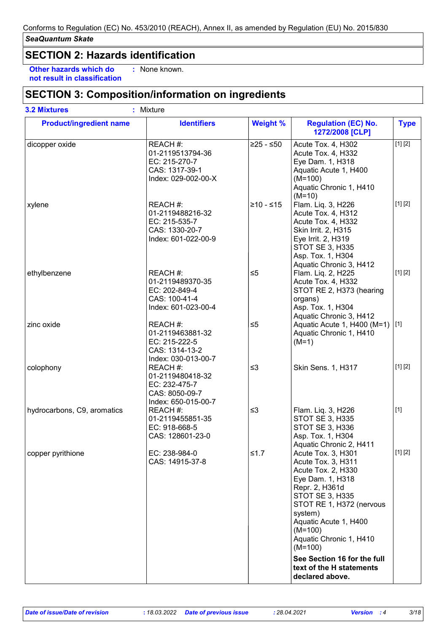# **SECTION 2: Hazards identification**

**Other hazards which do : not result in classification** : None known.

# **SECTION 3: Composition/information on ingredients**

| <b>Product/ingredient name</b> | <b>Identifiers</b>                                                                     | <b>Weight %</b> | <b>Regulation (EC) No.</b><br>1272/2008 [CLP]                                                                                                                                                                                                       | <b>Type</b> |
|--------------------------------|----------------------------------------------------------------------------------------|-----------------|-----------------------------------------------------------------------------------------------------------------------------------------------------------------------------------------------------------------------------------------------------|-------------|
| dicopper oxide                 | REACH #:<br>01-2119513794-36<br>EC: 215-270-7<br>CAS: 1317-39-1<br>Index: 029-002-00-X | $≥25 - ≤50$     | Acute Tox. 4, H302<br>Acute Tox. 4, H332<br>Eye Dam. 1, H318<br>Aquatic Acute 1, H400<br>$(M=100)$<br>Aquatic Chronic 1, H410<br>$(M=10)$                                                                                                           | [1] [2]     |
| xylene                         | REACH #:<br>01-2119488216-32<br>EC: 215-535-7<br>CAS: 1330-20-7<br>Index: 601-022-00-9 | $≥10 - ≤15$     | Flam. Liq. 3, H226<br>Acute Tox. 4, H312<br>Acute Tox. 4, H332<br>Skin Irrit. 2, H315<br>Eye Irrit. 2, H319<br><b>STOT SE 3, H335</b><br>Asp. Tox. 1, H304<br>Aquatic Chronic 3, H412                                                               | [1] [2]     |
| ethylbenzene                   | REACH #:<br>01-2119489370-35<br>EC: 202-849-4<br>CAS: 100-41-4<br>Index: 601-023-00-4  | $\leq 5$        | Flam. Liq. 2, H225<br>Acute Tox. 4, H332<br>STOT RE 2, H373 (hearing<br>organs)<br>Asp. Tox. 1, H304<br>Aquatic Chronic 3, H412                                                                                                                     | [1] [2]     |
| zinc oxide                     | REACH #:<br>01-2119463881-32<br>EC: 215-222-5<br>CAS: 1314-13-2<br>Index: 030-013-00-7 | $\leq 5$        | Aquatic Acute 1, H400 (M=1) [1]<br>Aquatic Chronic 1, H410<br>$(M=1)$                                                                                                                                                                               |             |
| colophony                      | REACH #:<br>01-2119480418-32<br>EC: 232-475-7<br>CAS: 8050-09-7<br>Index: 650-015-00-7 | $\leq$ 3        | Skin Sens. 1, H317                                                                                                                                                                                                                                  | [1] [2]     |
| hydrocarbons, C9, aromatics    | REACH #:<br>01-2119455851-35<br>EC: 918-668-5<br>CAS: 128601-23-0                      | $\leq$ 3        | Flam. Liq. 3, H226<br><b>STOT SE 3, H335</b><br>STOT SE 3, H336<br>Asp. Tox. 1, H304<br>Aquatic Chronic 2, H411                                                                                                                                     | $[1]$       |
| copper pyrithione              | EC: 238-984-0<br>CAS: 14915-37-8                                                       | $≤1.7$          | Acute Tox. 3, H301<br>Acute Tox. 3, H311<br>Acute Tox. 2, H330<br>Eye Dam. 1, H318<br>Repr. 2, H361d<br><b>STOT SE 3, H335</b><br>STOT RE 1, H372 (nervous<br>system)<br>Aquatic Acute 1, H400<br>$(M=100)$<br>Aquatic Chronic 1, H410<br>$(M=100)$ | [1] [2]     |
|                                |                                                                                        |                 | See Section 16 for the full<br>text of the H statements<br>declared above.                                                                                                                                                                          |             |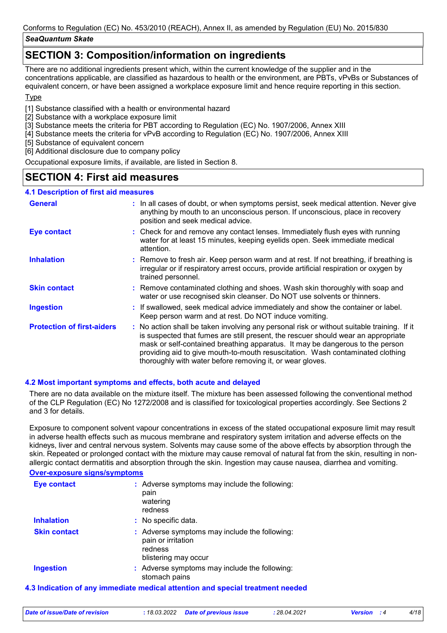### **SECTION 3: Composition/information on ingredients**

There are no additional ingredients present which, within the current knowledge of the supplier and in the concentrations applicable, are classified as hazardous to health or the environment, are PBTs, vPvBs or Substances of equivalent concern, or have been assigned a workplace exposure limit and hence require reporting in this section.

### **T**<sub>vpe</sub>

[1] Substance classified with a health or environmental hazard

- [2] Substance with a workplace exposure limit
- [3] Substance meets the criteria for PBT according to Regulation (EC) No. 1907/2006, Annex XIII
- [4] Substance meets the criteria for vPvB according to Regulation (EC) No. 1907/2006, Annex XIII
- [5] Substance of equivalent concern
- [6] Additional disclosure due to company policy

Occupational exposure limits, if available, are listed in Section 8.

## **SECTION 4: First aid measures**

### **4.1 Description of first aid measures**

| <b>General</b>                    | : In all cases of doubt, or when symptoms persist, seek medical attention. Never give<br>anything by mouth to an unconscious person. If unconscious, place in recovery<br>position and seek medical advice.                                                                                                                                                                                                     |
|-----------------------------------|-----------------------------------------------------------------------------------------------------------------------------------------------------------------------------------------------------------------------------------------------------------------------------------------------------------------------------------------------------------------------------------------------------------------|
| <b>Eye contact</b>                | : Check for and remove any contact lenses. Immediately flush eyes with running<br>water for at least 15 minutes, keeping eyelids open. Seek immediate medical<br>attention.                                                                                                                                                                                                                                     |
| <b>Inhalation</b>                 | : Remove to fresh air. Keep person warm and at rest. If not breathing, if breathing is<br>irregular or if respiratory arrest occurs, provide artificial respiration or oxygen by<br>trained personnel.                                                                                                                                                                                                          |
| <b>Skin contact</b>               | : Remove contaminated clothing and shoes. Wash skin thoroughly with soap and<br>water or use recognised skin cleanser. Do NOT use solvents or thinners.                                                                                                                                                                                                                                                         |
| <b>Ingestion</b>                  | : If swallowed, seek medical advice immediately and show the container or label.<br>Keep person warm and at rest. Do NOT induce vomiting.                                                                                                                                                                                                                                                                       |
| <b>Protection of first-aiders</b> | : No action shall be taken involving any personal risk or without suitable training. If it<br>is suspected that fumes are still present, the rescuer should wear an appropriate<br>mask or self-contained breathing apparatus. It may be dangerous to the person<br>providing aid to give mouth-to-mouth resuscitation. Wash contaminated clothing<br>thoroughly with water before removing it, or wear gloves. |

### **4.2 Most important symptoms and effects, both acute and delayed**

There are no data available on the mixture itself. The mixture has been assessed following the conventional method of the CLP Regulation (EC) No 1272/2008 and is classified for toxicological properties accordingly. See Sections 2 and 3 for details.

Exposure to component solvent vapour concentrations in excess of the stated occupational exposure limit may result in adverse health effects such as mucous membrane and respiratory system irritation and adverse effects on the kidneys, liver and central nervous system. Solvents may cause some of the above effects by absorption through the skin. Repeated or prolonged contact with the mixture may cause removal of natural fat from the skin, resulting in nonallergic contact dermatitis and absorption through the skin. Ingestion may cause nausea, diarrhea and vomiting.

#### **Over-exposure signs/symptoms**

| <b>Eye contact</b>  | : Adverse symptoms may include the following:<br>pain<br>watering<br>redness                           |
|---------------------|--------------------------------------------------------------------------------------------------------|
| <b>Inhalation</b>   | : No specific data.                                                                                    |
| <b>Skin contact</b> | : Adverse symptoms may include the following:<br>pain or irritation<br>redness<br>blistering may occur |
| <b>Ingestion</b>    | : Adverse symptoms may include the following:<br>stomach pains                                         |

### **4.3 Indication of any immediate medical attention and special treatment needed**

| Date of issue/Date of revision<br>: 18.03.2022 Date of previous issue<br>28.04.2021<br><b>Version</b> : 4 |  |
|-----------------------------------------------------------------------------------------------------------|--|
|-----------------------------------------------------------------------------------------------------------|--|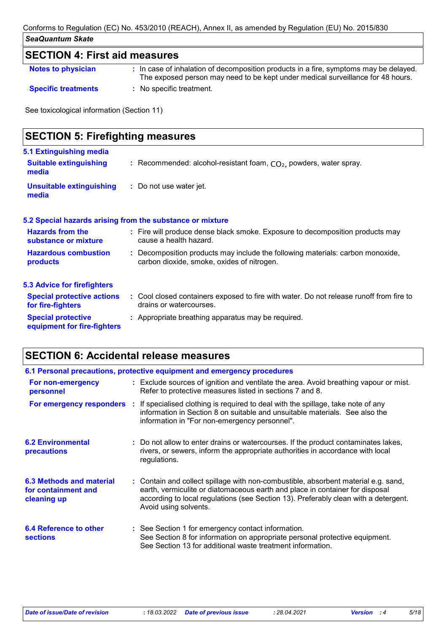## **SECTION 4: First aid measures**

| <b>Notes to physician</b>  | : In case of inhalation of decomposition products in a fire, symptoms may be delayed.<br>The exposed person may need to be kept under medical surveillance for 48 hours. |
|----------------------------|--------------------------------------------------------------------------------------------------------------------------------------------------------------------------|
| <b>Specific treatments</b> | : No specific treatment.                                                                                                                                                 |

See toxicological information (Section 11)

| <b>SECTION 5: Firefighting measures</b>                  |                                                                                                                              |
|----------------------------------------------------------|------------------------------------------------------------------------------------------------------------------------------|
| 5.1 Extinguishing media<br><b>Suitable extinguishing</b> | : Recommended: alcohol-resistant foam, $CO2$ , powders, water spray.                                                         |
| media<br><b>Unsuitable extinguishing</b><br>media        | : Do not use water jet.                                                                                                      |
|                                                          | 5.2 Special hazards arising from the substance or mixture                                                                    |
| <b>Hazards from the</b><br>substance or mixture          | : Fire will produce dense black smoke. Exposure to decomposition products may<br>cause a health hazard.                      |
| <b>Hazardous combustion</b><br>products                  | : Decomposition products may include the following materials: carbon monoxide,<br>carbon dioxide, smoke, oxides of nitrogen. |
| <b>5.3 Advice for firefighters</b>                       |                                                                                                                              |
| <b>Special protective actions</b><br>for fire-fighters   | : Cool closed containers exposed to fire with water. Do not release runoff from fire to<br>drains or watercourses.           |
| <b>Special protective</b><br>equipment for fire-fighters | : Appropriate breathing apparatus may be required.                                                                           |

# **SECTION 6: Accidental release measures**

|                                                                | 6.1 Personal precautions, protective equipment and emergency procedures                                                                                                                                                                                                            |
|----------------------------------------------------------------|------------------------------------------------------------------------------------------------------------------------------------------------------------------------------------------------------------------------------------------------------------------------------------|
| For non-emergency<br>personnel                                 | : Exclude sources of ignition and ventilate the area. Avoid breathing vapour or mist.<br>Refer to protective measures listed in sections 7 and 8.                                                                                                                                  |
|                                                                | <b>For emergency responders</b> : If specialised clothing is required to deal with the spillage, take note of any<br>information in Section 8 on suitable and unsuitable materials. See also the<br>information in "For non-emergency personnel".                                  |
| <b>6.2 Environmental</b><br><b>precautions</b>                 | : Do not allow to enter drains or watercourses. If the product contaminates lakes,<br>rivers, or sewers, inform the appropriate authorities in accordance with local<br>regulations.                                                                                               |
| 6.3 Methods and material<br>for containment and<br>cleaning up | : Contain and collect spillage with non-combustible, absorbent material e.g. sand,<br>earth, vermiculite or diatomaceous earth and place in container for disposal<br>according to local regulations (see Section 13). Preferably clean with a detergent.<br>Avoid using solvents. |
| 6.4 Reference to other<br><b>sections</b>                      | : See Section 1 for emergency contact information.<br>See Section 8 for information on appropriate personal protective equipment.<br>See Section 13 for additional waste treatment information.                                                                                    |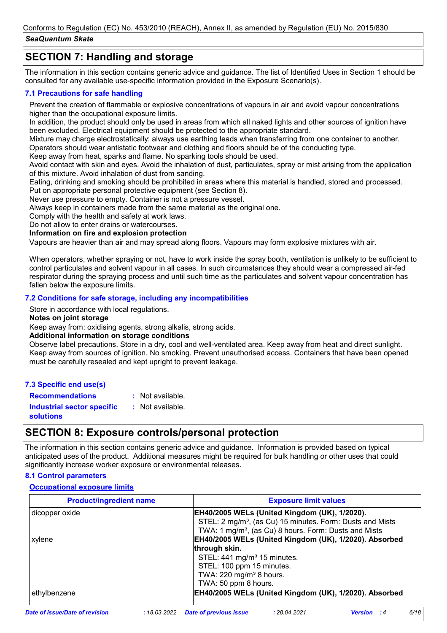# **SECTION 7: Handling and storage**

The information in this section contains generic advice and guidance. The list of Identified Uses in Section 1 should be consulted for any available use-specific information provided in the Exposure Scenario(s).

### **7.1 Precautions for safe handling**

Prevent the creation of flammable or explosive concentrations of vapours in air and avoid vapour concentrations higher than the occupational exposure limits.

In addition, the product should only be used in areas from which all naked lights and other sources of ignition have been excluded. Electrical equipment should be protected to the appropriate standard.

Mixture may charge electrostatically: always use earthing leads when transferring from one container to another. Operators should wear antistatic footwear and clothing and floors should be of the conducting type.

Keep away from heat, sparks and flame. No sparking tools should be used.

Avoid contact with skin and eyes. Avoid the inhalation of dust, particulates, spray or mist arising from the application of this mixture. Avoid inhalation of dust from sanding.

Eating, drinking and smoking should be prohibited in areas where this material is handled, stored and processed.

Put on appropriate personal protective equipment (see Section 8).

Never use pressure to empty. Container is not a pressure vessel.

Always keep in containers made from the same material as the original one.

Comply with the health and safety at work laws.

Do not allow to enter drains or watercourses.

**Information on fire and explosion protection**

Vapours are heavier than air and may spread along floors. Vapours may form explosive mixtures with air.

When operators, whether spraying or not, have to work inside the spray booth, ventilation is unlikely to be sufficient to control particulates and solvent vapour in all cases. In such circumstances they should wear a compressed air-fed respirator during the spraying process and until such time as the particulates and solvent vapour concentration has fallen below the exposure limits.

### **7.2 Conditions for safe storage, including any incompatibilities**

Store in accordance with local regulations.

#### **Notes on joint storage**

Keep away from: oxidising agents, strong alkalis, strong acids.

### **Additional information on storage conditions**

Observe label precautions. Store in a dry, cool and well-ventilated area. Keep away from heat and direct sunlight. Keep away from sources of ignition. No smoking. Prevent unauthorised access. Containers that have been opened must be carefully resealed and kept upright to prevent leakage.

### **7.3 Specific end use(s)**

**Recommendations :** : Not available.

**Industrial sector specific : solutions** : Not available.

## **SECTION 8: Exposure controls/personal protection**

The information in this section contains generic advice and guidance. Information is provided based on typical anticipated uses of the product. Additional measures might be required for bulk handling or other uses that could significantly increase worker exposure or environmental releases.

### **8.1 Control parameters**

### **Occupational exposure limits**

| <b>Product/ingredient name</b> | <b>Exposure limit values</b>                                                                  |
|--------------------------------|-----------------------------------------------------------------------------------------------|
| dicopper oxide                 | EH40/2005 WELs (United Kingdom (UK), 1/2020).                                                 |
|                                | STEL: 2 mg/m <sup>3</sup> , (as Cu) 15 minutes. Form: Dusts and Mists                         |
|                                | TWA: 1 mg/m <sup>3</sup> , (as Cu) 8 hours. Form: Dusts and Mists                             |
| xylene                         | EH40/2005 WELs (United Kingdom (UK), 1/2020). Absorbed                                        |
|                                | through skin.                                                                                 |
|                                | STEL: 441 mg/m <sup>3</sup> 15 minutes.                                                       |
|                                | STEL: 100 ppm 15 minutes.                                                                     |
|                                | TWA: 220 mg/m <sup>3</sup> 8 hours.                                                           |
|                                | TWA: 50 ppm 8 hours.                                                                          |
| ethylbenzene                   | EH40/2005 WELs (United Kingdom (UK), 1/2020). Absorbed                                        |
| Date of issue/Date of revision | 6/18<br><b>Date of previous issue</b><br>: 28.04.2021<br>:18.03.2022<br>Version<br>$\cdot$ :4 |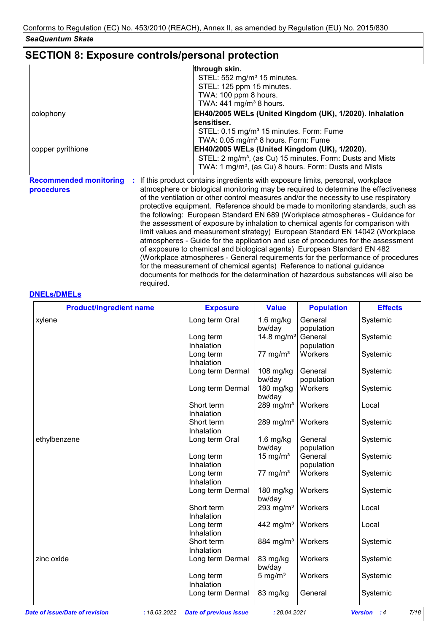# **SECTION 8: Exposure controls/personal protection**

required.

|                                             | through skin.                                                                                                                                                                                                                                                                                                                                                                                                                                                                                                                                                                                                                                                                                                                                                                                                                                                                                                                   |
|---------------------------------------------|---------------------------------------------------------------------------------------------------------------------------------------------------------------------------------------------------------------------------------------------------------------------------------------------------------------------------------------------------------------------------------------------------------------------------------------------------------------------------------------------------------------------------------------------------------------------------------------------------------------------------------------------------------------------------------------------------------------------------------------------------------------------------------------------------------------------------------------------------------------------------------------------------------------------------------|
|                                             | STEL: 552 mg/m <sup>3</sup> 15 minutes.                                                                                                                                                                                                                                                                                                                                                                                                                                                                                                                                                                                                                                                                                                                                                                                                                                                                                         |
|                                             | STEL: 125 ppm 15 minutes.                                                                                                                                                                                                                                                                                                                                                                                                                                                                                                                                                                                                                                                                                                                                                                                                                                                                                                       |
|                                             | TWA: 100 ppm 8 hours.                                                                                                                                                                                                                                                                                                                                                                                                                                                                                                                                                                                                                                                                                                                                                                                                                                                                                                           |
|                                             | TWA: $441 \text{ mg/m}^3$ 8 hours.                                                                                                                                                                                                                                                                                                                                                                                                                                                                                                                                                                                                                                                                                                                                                                                                                                                                                              |
| colophony                                   | EH40/2005 WELs (United Kingdom (UK), 1/2020). Inhalation                                                                                                                                                                                                                                                                                                                                                                                                                                                                                                                                                                                                                                                                                                                                                                                                                                                                        |
|                                             | sensitiser.                                                                                                                                                                                                                                                                                                                                                                                                                                                                                                                                                                                                                                                                                                                                                                                                                                                                                                                     |
|                                             | STEL: 0.15 mg/m <sup>3</sup> 15 minutes. Form: Fume                                                                                                                                                                                                                                                                                                                                                                                                                                                                                                                                                                                                                                                                                                                                                                                                                                                                             |
|                                             | TWA: 0.05 mg/m <sup>3</sup> 8 hours. Form: Fume                                                                                                                                                                                                                                                                                                                                                                                                                                                                                                                                                                                                                                                                                                                                                                                                                                                                                 |
| copper pyrithione                           | EH40/2005 WELs (United Kingdom (UK), 1/2020).                                                                                                                                                                                                                                                                                                                                                                                                                                                                                                                                                                                                                                                                                                                                                                                                                                                                                   |
|                                             | STEL: 2 mg/m <sup>3</sup> , (as Cu) 15 minutes. Form: Dusts and Mists                                                                                                                                                                                                                                                                                                                                                                                                                                                                                                                                                                                                                                                                                                                                                                                                                                                           |
|                                             | TWA: 1 mg/m <sup>3</sup> , (as Cu) 8 hours. Form: Dusts and Mists                                                                                                                                                                                                                                                                                                                                                                                                                                                                                                                                                                                                                                                                                                                                                                                                                                                               |
| <b>Recommended monitoring</b><br>procedures | If this product contains ingredients with exposure limits, personal, workplace<br>atmosphere or biological monitoring may be required to determine the effectiveness<br>of the ventilation or other control measures and/or the necessity to use respiratory<br>protective equipment. Reference should be made to monitoring standards, such as<br>the following: European Standard EN 689 (Workplace atmospheres - Guidance for<br>the assessment of exposure by inhalation to chemical agents for comparison with<br>limit values and measurement strategy) European Standard EN 14042 (Workplace<br>atmospheres - Guide for the application and use of procedures for the assessment<br>of exposure to chemical and biological agents) European Standard EN 482<br>(Workplace atmospheres - General requirements for the performance of procedures<br>for the measurement of chemical agents) Reference to national guidance |

documents for methods for the determination of hazardous substances will also be

#### **DNELs/DMELs**

| <b>Product/ingredient name</b>                 | <b>Exposure</b>               | <b>Value</b>           | <b>Population</b> | <b>Effects</b>                       |
|------------------------------------------------|-------------------------------|------------------------|-------------------|--------------------------------------|
| xylene                                         | Long term Oral                | $1.6$ mg/kg            | General           | Systemic                             |
|                                                |                               | bw/day                 | population        |                                      |
|                                                | Long term                     | 14.8 mg/m <sup>3</sup> | General           | Systemic                             |
|                                                | Inhalation                    |                        | population        |                                      |
|                                                | Long term                     | 77 mg/m $3$            | Workers           | Systemic                             |
|                                                | Inhalation                    |                        |                   |                                      |
|                                                | Long term Dermal              | 108 mg/kg              | General           | Systemic                             |
|                                                |                               | bw/day                 | population        |                                      |
|                                                | Long term Dermal              | 180 mg/kg<br>bw/day    | Workers           | Systemic                             |
|                                                | Short term                    | 289 mg/m $3$           | Workers           | Local                                |
|                                                | Inhalation                    |                        |                   |                                      |
|                                                | Short term                    | 289 mg/m $3$           | Workers           | Systemic                             |
|                                                | Inhalation                    |                        |                   |                                      |
| ethylbenzene                                   | Long term Oral                | $1.6$ mg/kg            | General           | Systemic                             |
|                                                |                               | bw/day                 | population        |                                      |
|                                                | Long term                     | 15 mg/ $m3$            | General           | Systemic                             |
|                                                | Inhalation                    |                        | population        |                                      |
|                                                | Long term                     | 77 mg/m <sup>3</sup>   | Workers           | Systemic                             |
|                                                | Inhalation                    |                        |                   |                                      |
|                                                | Long term Dermal              | 180 mg/kg              | Workers           | Systemic                             |
|                                                |                               | bw/day                 |                   |                                      |
|                                                | Short term                    | 293 mg/m <sup>3</sup>  | Workers           | Local                                |
|                                                | Inhalation                    |                        |                   |                                      |
|                                                | Long term                     | 442 mg/m <sup>3</sup>  | Workers           | Local                                |
|                                                | Inhalation                    |                        |                   |                                      |
|                                                | Short term                    | 884 mg/m <sup>3</sup>  | Workers           | Systemic                             |
|                                                | Inhalation                    |                        |                   |                                      |
| zinc oxide                                     | Long term Dermal              | 83 mg/kg<br>bw/day     | Workers           | Systemic                             |
|                                                | Long term                     | 5 mg/ $m3$             | Workers           | Systemic                             |
|                                                | Inhalation                    |                        |                   |                                      |
|                                                | Long term Dermal              | 83 mg/kg               | General           | Systemic                             |
| Date of issue/Date of revision<br>: 18.03.2022 | <b>Date of previous issue</b> | : 28.04.2021           |                   | 7/18<br><b>Version</b><br>$\cdot$ :4 |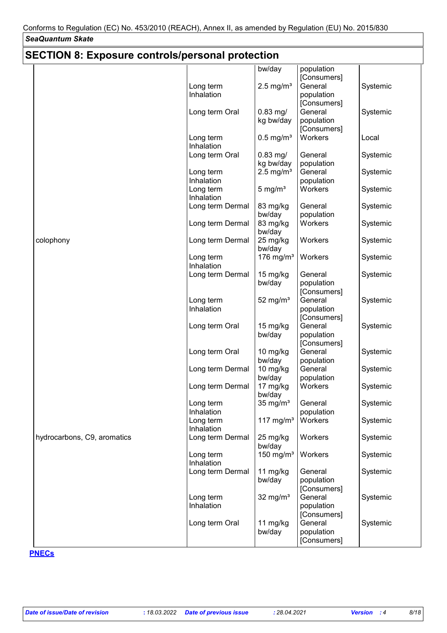| <b>SECTION 8: Exposure controls/personal protection</b> |                                             |                                |                                                     |                      |
|---------------------------------------------------------|---------------------------------------------|--------------------------------|-----------------------------------------------------|----------------------|
|                                                         | Long term                                   | bw/day<br>$2.5 \text{ mg/m}^3$ | population<br>[Consumers]<br>General                | Systemic             |
|                                                         | Inhalation<br>Long term Oral                | $0.83$ mg/<br>kg bw/day        | population<br>[Consumers]<br>General<br>population  | Systemic             |
|                                                         | Long term<br>Inhalation                     | $0.5$ mg/m <sup>3</sup>        | [Consumers]<br>Workers                              | Local                |
|                                                         | Long term Oral                              | $0.83$ mg/<br>kg bw/day        | General<br>population                               | Systemic             |
|                                                         | Long term<br>Inhalation                     | $2.5 \text{ mg/m}^3$           | General<br>population                               | Systemic             |
|                                                         | Long term<br>Inhalation                     | $5 \text{ mg/m}^3$             | Workers                                             | Systemic             |
|                                                         | Long term Dermal                            | 83 mg/kg<br>bw/day             | General<br>population<br>Workers                    | Systemic             |
| colophony                                               | Long term Dermal<br>Long term Dermal        | 83 mg/kg<br>bw/day<br>25 mg/kg | Workers                                             | Systemic<br>Systemic |
|                                                         | Long term                                   | bw/day<br>176 mg/m $3$         | Workers                                             | Systemic             |
|                                                         | Inhalation<br>Long term Dermal              | 15 mg/kg<br>bw/day             | General<br>population                               | Systemic             |
|                                                         | Long term<br>Inhalation                     | 52 mg/ $m3$                    | [Consumers]<br>General<br>population                | Systemic             |
|                                                         | Long term Oral                              | 15 mg/kg<br>bw/day             | [Consumers]<br>General<br>population<br>[Consumers] | Systemic             |
|                                                         | Long term Oral                              | 10 mg/kg<br>bw/day             | General<br>population                               | Systemic             |
|                                                         | Long term Dermal                            | 10 mg/kg<br>bw/day             | General<br>population                               | Systemic             |
|                                                         | Long term Dermal                            | 17 mg/kg<br>bw/day             | Workers                                             | Systemic             |
|                                                         | Long term<br>Inhalation                     | 35 mg/ $m3$                    | General<br>population                               | Systemic             |
| hydrocarbons, C9, aromatics                             | Long term<br>Inhalation<br>Long term Dermal | 117 mg/ $m3$<br>25 mg/kg       | Workers<br>Workers                                  | Systemic<br>Systemic |
|                                                         | Long term                                   | bw/day<br>150 mg/ $m3$         | Workers                                             | Systemic             |
|                                                         | Inhalation<br>Long term Dermal              | 11 mg/kg<br>bw/day             | General<br>population                               | Systemic             |
|                                                         | Long term<br>Inhalation                     | 32 mg/ $m3$                    | [Consumers]<br>General<br>population<br>[Consumers] | Systemic             |
|                                                         | Long term Oral                              | 11 mg/kg<br>bw/day             | General<br>population<br>[Consumers]                | Systemic             |

#### **PNECs**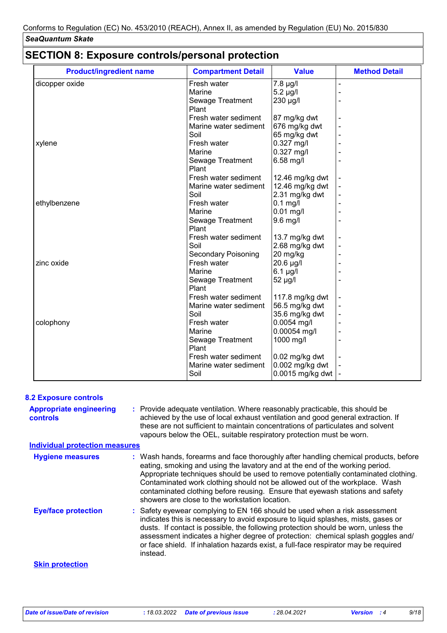# **SECTION 8: Exposure controls/personal protection**

| <b>Product/ingredient name</b> | <b>Compartment Detail</b>  | <b>Value</b>     | <b>Method Detail</b> |
|--------------------------------|----------------------------|------------------|----------------------|
| dicopper oxide                 | Fresh water                | $7.8 \mu g/l$    |                      |
|                                | Marine                     | $5.2 \mu g/l$    |                      |
|                                | Sewage Treatment           | 230 µg/l         |                      |
|                                | Plant                      |                  |                      |
|                                | Fresh water sediment       | 87 mg/kg dwt     |                      |
|                                | Marine water sediment      | 676 mg/kg dwt    |                      |
|                                | Soil                       | 65 mg/kg dwt     |                      |
| xylene                         | Fresh water                | 0.327 mg/l       |                      |
|                                | Marine                     | $0.327$ mg/l     |                      |
|                                | Sewage Treatment           | 6.58 mg/l        |                      |
|                                | Plant                      |                  |                      |
|                                | Fresh water sediment       | 12.46 mg/kg dwt  |                      |
|                                | Marine water sediment      | 12.46 mg/kg dwt  |                      |
|                                | Soil                       | 2.31 mg/kg dwt   |                      |
| ethylbenzene                   | Fresh water                | $0.1$ mg/l       |                      |
|                                | Marine                     | $0.01$ mg/l      |                      |
|                                | Sewage Treatment           | $9.6$ mg/l       |                      |
|                                | Plant                      |                  |                      |
|                                | Fresh water sediment       | 13.7 mg/kg dwt   |                      |
|                                | Soil                       | 2.68 mg/kg dwt   |                      |
|                                | <b>Secondary Poisoning</b> | 20 mg/kg         |                      |
| zinc oxide                     | Fresh water                | 20.6 µg/l        |                      |
|                                | Marine                     | $6.1$ µg/l       |                      |
|                                | Sewage Treatment           | 52 µg/l          |                      |
|                                | Plant                      |                  |                      |
|                                | Fresh water sediment       | 117.8 mg/kg dwt  |                      |
|                                | Marine water sediment      | 56.5 mg/kg dwt   |                      |
|                                | Soil                       | 35.6 mg/kg dwt   |                      |
| colophony                      | Fresh water                | 0.0054 mg/l      |                      |
|                                | Marine                     | 0.00054 mg/l     |                      |
|                                | Sewage Treatment           | 1000 mg/l        |                      |
|                                | Plant                      |                  |                      |
|                                | Fresh water sediment       | $0.02$ mg/kg dwt |                      |
|                                | Marine water sediment      | 0.002 mg/kg dwt  |                      |
|                                | Soil                       | 0.0015 mg/kg dwt |                      |

| <b>8.2 Exposure controls</b>                      |                                                                                                                                                                                                                                                                                                                                                                                                                                                                             |
|---------------------------------------------------|-----------------------------------------------------------------------------------------------------------------------------------------------------------------------------------------------------------------------------------------------------------------------------------------------------------------------------------------------------------------------------------------------------------------------------------------------------------------------------|
| <b>Appropriate engineering</b><br><b>controls</b> | : Provide adequate ventilation. Where reasonably practicable, this should be<br>achieved by the use of local exhaust ventilation and good general extraction. If<br>these are not sufficient to maintain concentrations of particulates and solvent<br>vapours below the OEL, suitable respiratory protection must be worn.                                                                                                                                                 |
| <b>Individual protection measures</b>             |                                                                                                                                                                                                                                                                                                                                                                                                                                                                             |
| <b>Hygiene measures</b>                           | : Wash hands, forearms and face thoroughly after handling chemical products, before<br>eating, smoking and using the lavatory and at the end of the working period.<br>Appropriate techniques should be used to remove potentially contaminated clothing.<br>Contaminated work clothing should not be allowed out of the workplace. Wash<br>contaminated clothing before reusing. Ensure that eyewash stations and safety<br>showers are close to the workstation location. |
| <b>Eye/face protection</b>                        | : Safety eyewear complying to EN 166 should be used when a risk assessment<br>indicates this is necessary to avoid exposure to liquid splashes, mists, gases or<br>dusts. If contact is possible, the following protection should be worn, unless the<br>assessment indicates a higher degree of protection: chemical splash goggles and/<br>or face shield. If inhalation hazards exist, a full-face respirator may be required<br>instead.                                |
| <b>Skin protection</b>                            |                                                                                                                                                                                                                                                                                                                                                                                                                                                                             |
|                                                   |                                                                                                                                                                                                                                                                                                                                                                                                                                                                             |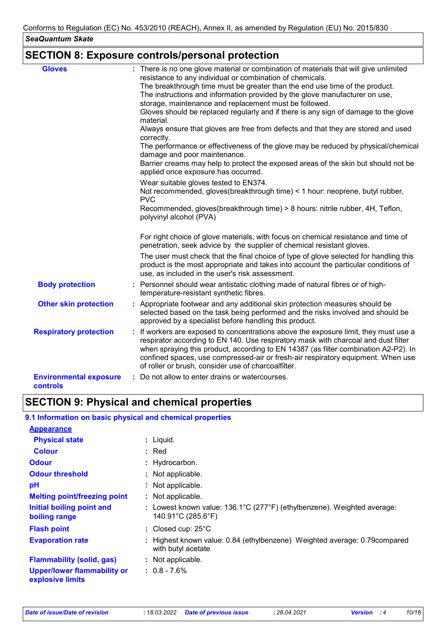# **SECTION 8: Exposure controls/personal protection**

| <b>Gloves</b>                             | : There is no one glove material or combination of materials that will give unlimited<br>resistance to any individual or combination of chemicals.<br>The breakthrough time must be greater than the end use time of the product.<br>The instructions and information provided by the glove manufacturer on use,<br>storage, maintenance and replacement must be followed.<br>Gloves should be replaced regularly and if there is any sign of damage to the glove<br>material.<br>Always ensure that gloves are free from defects and that they are stored and used<br>correctly.<br>The performance or effectiveness of the glove may be reduced by physical/chemical<br>damage and poor maintenance.<br>Barrier creams may help to protect the exposed areas of the skin but should not be<br>applied once exposure has occurred.<br>Wear suitable gloves tested to EN374.<br>Not recommended, gloves(breakthrough time) < 1 hour: neoprene, butyl rubber,<br><b>PVC</b><br>Recommended, gloves(breakthrough time) > 8 hours: nitrile rubber, 4H, Teflon,<br>polyvinyl alcohol (PVA)<br>For right choice of glove materials, with focus on chemical resistance and time of |
|-------------------------------------------|------------------------------------------------------------------------------------------------------------------------------------------------------------------------------------------------------------------------------------------------------------------------------------------------------------------------------------------------------------------------------------------------------------------------------------------------------------------------------------------------------------------------------------------------------------------------------------------------------------------------------------------------------------------------------------------------------------------------------------------------------------------------------------------------------------------------------------------------------------------------------------------------------------------------------------------------------------------------------------------------------------------------------------------------------------------------------------------------------------------------------------------------------------------------------|
|                                           | penetration, seek advice by the supplier of chemical resistant gloves.<br>The user must check that the final choice of type of glove selected for handling this<br>product is the most appropriate and takes into account the particular conditions of<br>use, as included in the user's risk assessment.                                                                                                                                                                                                                                                                                                                                                                                                                                                                                                                                                                                                                                                                                                                                                                                                                                                                    |
| <b>Body protection</b>                    | : Personnel should wear antistatic clothing made of natural fibres or of high-<br>temperature-resistant synthetic fibres.                                                                                                                                                                                                                                                                                                                                                                                                                                                                                                                                                                                                                                                                                                                                                                                                                                                                                                                                                                                                                                                    |
| <b>Other skin protection</b>              | : Appropriate footwear and any additional skin protection measures should be<br>selected based on the task being performed and the risks involved and should be<br>approved by a specialist before handling this product.                                                                                                                                                                                                                                                                                                                                                                                                                                                                                                                                                                                                                                                                                                                                                                                                                                                                                                                                                    |
| <b>Respiratory protection</b>             | : If workers are exposed to concentrations above the exposure limit, they must use a<br>respirator according to EN 140. Use respiratory mask with charcoal and dust filter<br>when spraying this product, according to EN 14387 (as filter combination A2-P2). In<br>confined spaces, use compressed-air or fresh-air respiratory equipment. When use<br>of roller or brush, consider use of charcoalfilter.                                                                                                                                                                                                                                                                                                                                                                                                                                                                                                                                                                                                                                                                                                                                                                 |
| <b>Environmental exposure</b><br>controls | : Do not allow to enter drains or watercourses.                                                                                                                                                                                                                                                                                                                                                                                                                                                                                                                                                                                                                                                                                                                                                                                                                                                                                                                                                                                                                                                                                                                              |

# **SECTION 9: Physical and chemical properties**

### **9.1 Information on basic physical and chemical properties**

| <b>Appearance</b>                               |                                                                                                                                   |
|-------------------------------------------------|-----------------------------------------------------------------------------------------------------------------------------------|
| <b>Physical state</b>                           | $:$ Liquid.                                                                                                                       |
| <b>Colour</b>                                   | $:$ Red                                                                                                                           |
| <b>Odour</b>                                    | : Hydrocarbon.                                                                                                                    |
| <b>Odour threshold</b>                          | : Not applicable.                                                                                                                 |
| pH                                              | : Not applicable.                                                                                                                 |
| <b>Melting point/freezing point</b>             | : Not applicable.                                                                                                                 |
| Initial boiling point and<br>boiling range      | : Lowest known value: $136.1^{\circ}C(277^{\circ}F)$ (ethylbenzene). Weighted average:<br>$140.91^{\circ}$ C (285.6 $^{\circ}$ F) |
| <b>Flash point</b>                              | : Closed cup: $25^{\circ}$ C                                                                                                      |
| <b>Evaporation rate</b>                         | : Highest known value: 0.84 (ethylbenzene) Weighted average: 0.79 compared<br>with butyl acetate                                  |
| <b>Flammability (solid, gas)</b>                | : Not applicable.                                                                                                                 |
| Upper/lower flammability or<br>explosive limits | $: 0.8 - 7.6\%$                                                                                                                   |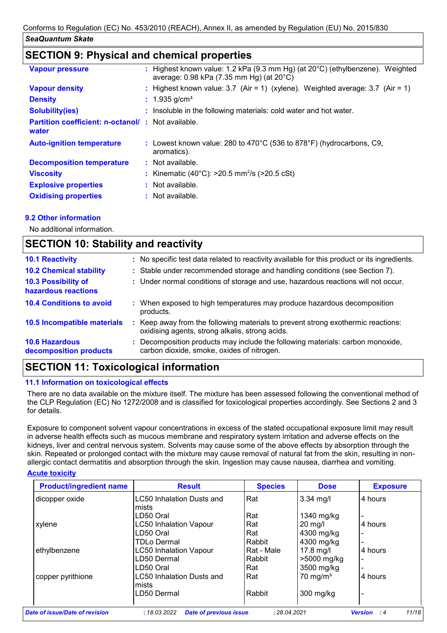## **SECTION 9: Physical and chemical properties**

| <b>Vapour pressure</b>                                            | : Highest known value: 1.2 kPa (9.3 mm Hg) (at $20^{\circ}$ C) (ethylbenzene). Weighted<br>average: 0.98 kPa (7.35 mm Hg) (at 20°C) |
|-------------------------------------------------------------------|-------------------------------------------------------------------------------------------------------------------------------------|
| <b>Vapour density</b>                                             | : Highest known value: $3.7$ (Air = 1) (xylene). Weighted average: $3.7$ (Air = 1)                                                  |
| <b>Density</b>                                                    | : $1.935$ g/cm <sup>3</sup>                                                                                                         |
| <b>Solubility(ies)</b>                                            | : Insoluble in the following materials: cold water and hot water.                                                                   |
| <b>Partition coefficient: n-octanol/: Not available.</b><br>water |                                                                                                                                     |
| <b>Auto-ignition temperature</b>                                  | : Lowest known value: 280 to 470°C (536 to 878°F) (hydrocarbons, C9,<br>aromatics).                                                 |
| <b>Decomposition temperature</b>                                  | : Not available.                                                                                                                    |
| <b>Viscosity</b>                                                  | : Kinematic (40°C): $>20.5$ mm <sup>2</sup> /s ( $>20.5$ cSt)                                                                       |
| <b>Explosive properties</b>                                       | : Not available.                                                                                                                    |
| <b>Oxidising properties</b>                                       | : Not available.                                                                                                                    |

### **9.2 Other information**

No additional information.

| <b>SECTION 10: Stability and reactivity</b>     |                                                                                                                                        |  |  |  |
|-------------------------------------------------|----------------------------------------------------------------------------------------------------------------------------------------|--|--|--|
| <b>10.1 Reactivity</b>                          | : No specific test data related to reactivity available for this product or its ingredients.                                           |  |  |  |
| <b>10.2 Chemical stability</b>                  | : Stable under recommended storage and handling conditions (see Section 7).                                                            |  |  |  |
| 10.3 Possibility of<br>hazardous reactions      | : Under normal conditions of storage and use, hazardous reactions will not occur.                                                      |  |  |  |
| <b>10.4 Conditions to avoid</b>                 | : When exposed to high temperatures may produce hazardous decomposition<br>products.                                                   |  |  |  |
| 10.5 Incompatible materials                     | Keep away from the following materials to prevent strong exothermic reactions:<br>÷<br>oxidising agents, strong alkalis, strong acids. |  |  |  |
| <b>10.6 Hazardous</b><br>decomposition products | Decomposition products may include the following materials: carbon monoxide,<br>carbon dioxide, smoke, oxides of nitrogen.             |  |  |  |

## **SECTION 11: Toxicological information**

### **11.1 Information on toxicological effects**

There are no data available on the mixture itself. The mixture has been assessed following the conventional method of the CLP Regulation (EC) No 1272/2008 and is classified for toxicological properties accordingly. See Sections 2 and 3 for details.

Exposure to component solvent vapour concentrations in excess of the stated occupational exposure limit may result in adverse health effects such as mucous membrane and respiratory system irritation and adverse effects on the kidneys, liver and central nervous system. Solvents may cause some of the above effects by absorption through the skin. Repeated or prolonged contact with the mixture may cause removal of natural fat from the skin, resulting in nonallergic contact dermatitis and absorption through the skin. Ingestion may cause nausea, diarrhea and vomiting.

### **Acute toxicity**

| <b>Product/ingredient name</b> | <b>Result</b>                                 | <b>Species</b> | <b>Dose</b>         | <b>Exposure</b>                       |
|--------------------------------|-----------------------------------------------|----------------|---------------------|---------------------------------------|
| dicopper oxide                 | <b>LC50 Inhalation Dusts and</b>              | Rat            | $3.34$ mg/l         | 4 hours                               |
|                                | mists                                         |                |                     |                                       |
|                                | LD50 Oral                                     | Rat            | $1340$ mg/kg        |                                       |
| xylene                         | <b>LC50 Inhalation Vapour</b>                 | Rat            | $20$ mg/l           | 4 hours                               |
|                                | LD50 Oral                                     | Rat            | 4300 mg/kg          |                                       |
|                                | TDLo Dermal                                   | Rabbit         | 4300 mg/kg          | $\overline{\phantom{a}}$              |
| ethylbenzene                   | <b>LC50 Inhalation Vapour</b>                 | Rat - Male     | $17.8$ mg/l         | 4 hours                               |
|                                | LD50 Dermal                                   | Rabbit         | >5000 mg/kg         |                                       |
|                                | LD50 Oral                                     | Rat            | 3500 mg/kg          | $\overline{\phantom{a}}$              |
| copper pyrithione              | LC50 Inhalation Dusts and                     | Rat            | $70 \text{ mg/m}^3$ | 4 hours                               |
|                                | mists                                         |                |                     |                                       |
|                                | LD50 Dermal                                   | Rabbit         | 300 mg/kg           |                                       |
|                                |                                               |                |                     |                                       |
| Date of issue/Date of revision | <b>Date of previous issue</b><br>: 18.03.2022 | : 28.04.2021   |                     | 11/18<br><b>Version</b><br>$\cdot$ :4 |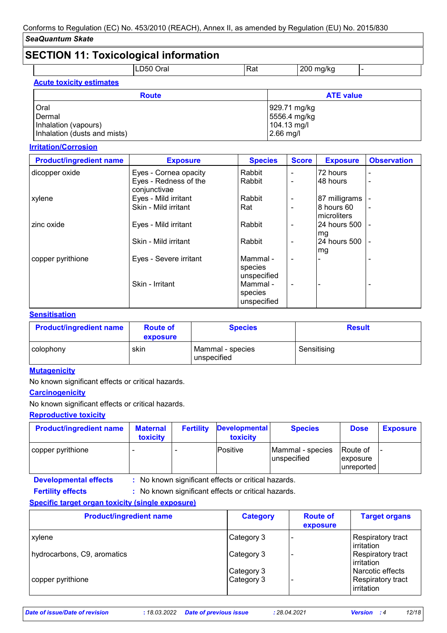# **SECTION 11: Toxicological information**

|                                 | LD50 Oral    | Rat |              | $200$ mg/kg      | $\overline{\phantom{0}}$ |  |
|---------------------------------|--------------|-----|--------------|------------------|--------------------------|--|
| <b>Acute toxicity estimates</b> |              |     |              |                  |                          |  |
|                                 | <b>Route</b> |     |              | <b>ATE value</b> |                          |  |
| Oral                            |              |     | 929.71 mg/kg |                  |                          |  |
| Dermal                          |              |     | 5556.4 mg/kg |                  |                          |  |
| Inhalation (vapours)            |              |     |              | 104.13 mg/l      |                          |  |
| Inhalation (dusts and mists)    |              |     | $2.66$ mg/l  |                  |                          |  |

### **Irritation/Corrosion**

| <b>Product/ingredient name</b> | <b>Exposure</b>                       | <b>Species</b>                     | <b>Score</b>   | <b>Exposure</b>           | <b>Observation</b> |
|--------------------------------|---------------------------------------|------------------------------------|----------------|---------------------------|--------------------|
| dicopper oxide                 | Eyes - Cornea opacity                 | Rabbit                             | ۰              | 72 hours                  | $\blacksquare$     |
|                                | Eyes - Redness of the<br>conjunctivae | Rabbit                             | $\blacksquare$ | 48 hours                  | $\blacksquare$     |
| xylene                         | Eyes - Mild irritant                  | Rabbit                             | ۰              | 87 milligrams             |                    |
|                                | Skin - Mild irritant                  | Rat                                | $\blacksquare$ | 8 hours 60<br>microliters |                    |
| zinc oxide                     | Eyes - Mild irritant                  | Rabbit                             | $\blacksquare$ | 24 hours 500<br>mg        |                    |
|                                | Skin - Mild irritant                  | Rabbit                             | -              | 24 hours 500<br>mg        |                    |
| copper pyrithione              | Eyes - Severe irritant                | Mammal -<br>species<br>unspecified | $\blacksquare$ |                           |                    |
|                                | Skin - Irritant                       | Mammal -<br>species<br>unspecified | $\blacksquare$ |                           |                    |

### **Sensitisation**

| <b>Product/ingredient name</b> | <b>Route of</b><br>exposure | <b>Species</b>                  | <b>Result</b> |
|--------------------------------|-----------------------------|---------------------------------|---------------|
| colophony                      | skin                        | Mammal - species<br>unspecified | Sensitising   |

### **Mutagenicity**

No known significant effects or critical hazards.

# **Carcinogenicity**

No known significant effects or critical hazards.

### **Reproductive toxicity**

| <b>Product/ingredient name</b> | <b>Maternal</b><br>toxicity | <b>Fertility</b> | <b>Developmental</b><br>toxicity | <b>Species</b>                   | <b>Dose</b>                                      | <b>Exposure</b> |
|--------------------------------|-----------------------------|------------------|----------------------------------|----------------------------------|--------------------------------------------------|-----------------|
| copper pyrithione              |                             |                  | <b>Positive</b>                  | Mammal - species<br>lunspecified | <b>Route of</b><br><i>exposure</i><br>unreported |                 |

**Developmental effects :** : No known significant effects or critical hazards.

: No known significant effects or critical hazards. **Fertility effects :**

### **Specific target organ toxicity (single exposure)**

| <b>Product/ingredient name</b> | <b>Category</b>          | <b>Route of</b><br>exposure | <b>Target organs</b>                                |
|--------------------------------|--------------------------|-----------------------------|-----------------------------------------------------|
| xylene                         | Category 3               |                             | Respiratory tract<br>irritation                     |
| hydrocarbons, C9, aromatics    | Category 3               |                             | Respiratory tract<br>irritation                     |
| copper pyrithione              | Category 3<br>Category 3 |                             | Narcotic effects<br>Respiratory tract<br>irritation |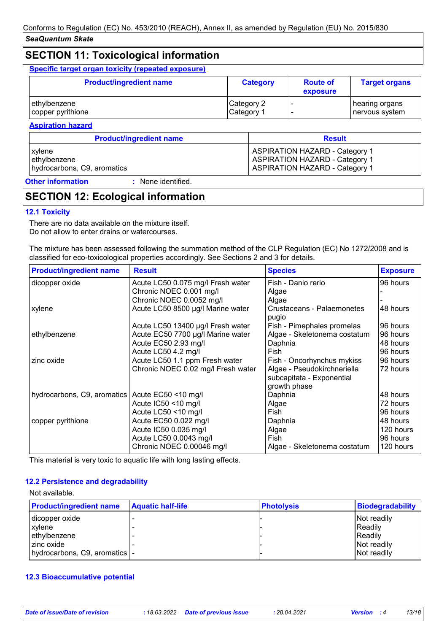## **SECTION 11: Toxicological information**

**Specific target organ toxicity (repeated exposure)**

| <b>Product/ingredient name</b> | <b>Category</b> | <b>Route of</b><br>exposure | <b>Target organs</b> |
|--------------------------------|-----------------|-----------------------------|----------------------|
| ethylbenzene                   | Category 2      |                             | ∣ hearing organs     |
| copper pyrithione              | Category 1      |                             | ∣nervous system      |

**Aspiration hazard**

| <b>Product/ingredient name</b> | <b>Result</b>                         |
|--------------------------------|---------------------------------------|
| xylene                         | <b>ASPIRATION HAZARD - Category 1</b> |
| ethylbenzene                   | <b>ASPIRATION HAZARD - Category 1</b> |
| hydrocarbons, C9, aromatics    | <b>ASPIRATION HAZARD - Category 1</b> |

**Other information :**

: None identified.

# **SECTION 12: Ecological information**

### **12.1 Toxicity**

There are no data available on the mixture itself. Do not allow to enter drains or watercourses.

The mixture has been assessed following the summation method of the CLP Regulation (EC) No 1272/2008 and is classified for eco-toxicological properties accordingly. See Sections 2 and 3 for details.

| <b>Product/ingredient name</b> | <b>Result</b>                      | <b>Species</b>                                                           | <b>Exposure</b> |
|--------------------------------|------------------------------------|--------------------------------------------------------------------------|-----------------|
| dicopper oxide                 | Acute LC50 0.075 mg/l Fresh water  | Fish - Danio rerio                                                       | 96 hours        |
|                                | Chronic NOEC 0.001 mg/l            | Algae                                                                    |                 |
|                                | Chronic NOEC 0.0052 mg/l           | Algae                                                                    |                 |
| xylene                         | Acute LC50 8500 µg/l Marine water  | Crustaceans - Palaemonetes<br>pugio                                      | 48 hours        |
|                                | Acute LC50 13400 µg/l Fresh water  | Fish - Pimephales promelas                                               | 96 hours        |
| ethylbenzene                   | Acute EC50 7700 µg/l Marine water  | Algae - Skeletonema costatum                                             | 96 hours        |
|                                | Acute EC50 2.93 mg/l               | Daphnia                                                                  | 48 hours        |
|                                | Acute LC50 4.2 mg/l                | Fish                                                                     | 96 hours        |
| zinc oxide                     | Acute LC50 1.1 ppm Fresh water     | Fish - Oncorhynchus mykiss                                               | 96 hours        |
|                                | Chronic NOEC 0.02 mg/l Fresh water | Algae - Pseudokirchneriella<br>subcapitata - Exponential<br>growth phase | 72 hours        |
| hydrocarbons, C9, aromatics    | Acute EC50 <10 mg/l                | Daphnia                                                                  | 48 hours        |
|                                | Acute IC50 <10 mg/l                | Algae                                                                    | 72 hours        |
|                                | Acute LC50 <10 mg/l                | Fish                                                                     | 96 hours        |
| copper pyrithione              | Acute EC50 0.022 mg/l              | Daphnia                                                                  | 48 hours        |
|                                | Acute IC50 0.035 mg/l              | Algae                                                                    | 120 hours       |
|                                | Acute LC50 0.0043 mg/l             | Fish                                                                     | 96 hours        |
|                                | Chronic NOEC 0.00046 mg/l          | Algae - Skeletonema costatum                                             | 120 hours       |

This material is very toxic to aquatic life with long lasting effects.

### **12.2 Persistence and degradability**

#### Not available.

| <b>Product/ingredient name</b>  | <b>Aquatic half-life</b> | <b>Photolysis</b> | Biodegradability |
|---------------------------------|--------------------------|-------------------|------------------|
| dicopper oxide                  |                          |                   | Not readily      |
| xylene                          |                          |                   | Readily          |
| ethylbenzene                    |                          |                   | Readily          |
| zinc oxide                      |                          |                   | Not readily      |
| hydrocarbons, C9, aromatics   - |                          |                   | Not readily      |

### **12.3 Bioaccumulative potential**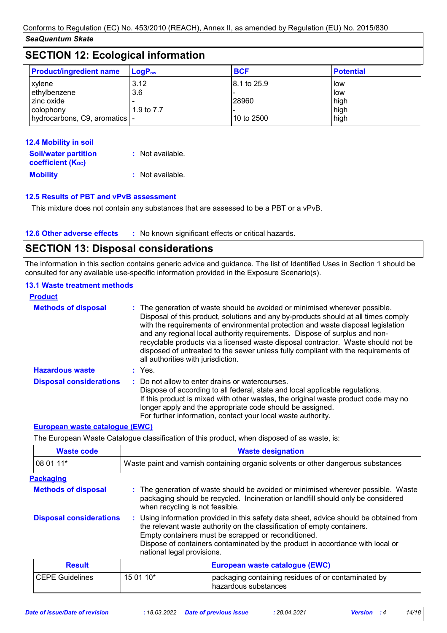| <b>SECTION 12: Ecological information</b>                                           |                           |                                    |                                      |  |
|-------------------------------------------------------------------------------------|---------------------------|------------------------------------|--------------------------------------|--|
| <b>Product/ingredient name</b>                                                      | $LogP_{ow}$               | <b>BCF</b>                         | <b>Potential</b>                     |  |
| xylene<br>ethylbenzene<br>zinc oxide<br>colophony<br>hydrocarbons, C9, aromatics  - | 3.12<br>3.6<br>1.9 to 7.7 | 8.1 to 25.9<br>28960<br>10 to 2500 | l low<br>low<br>high<br>high<br>high |  |

| 12.4 Mobility in soil                                   |                  |
|---------------------------------------------------------|------------------|
| <b>Soil/water partition</b><br><b>coefficient (Koc)</b> | : Not available. |
| <b>Mobility</b>                                         | : Not available. |

### **12.5 Results of PBT and vPvB assessment**

This mixture does not contain any substances that are assessed to be a PBT or a vPvB.

#### **12.6 Other adverse effects** : No known significant effects or critical hazards.

## **SECTION 13: Disposal considerations**

The information in this section contains generic advice and guidance. The list of Identified Uses in Section 1 should be consulted for any available use-specific information provided in the Exposure Scenario(s).

### **13.1 Waste treatment methods**

| <b>Product</b>                 |                                                                                                                                                                                                                                                                                                                                                                                                                                                                                                                                                      |
|--------------------------------|------------------------------------------------------------------------------------------------------------------------------------------------------------------------------------------------------------------------------------------------------------------------------------------------------------------------------------------------------------------------------------------------------------------------------------------------------------------------------------------------------------------------------------------------------|
| <b>Methods of disposal</b>     | : The generation of waste should be avoided or minimised wherever possible.<br>Disposal of this product, solutions and any by-products should at all times comply<br>with the requirements of environmental protection and waste disposal legislation<br>and any regional local authority requirements. Dispose of surplus and non-<br>recyclable products via a licensed waste disposal contractor. Waste should not be<br>disposed of untreated to the sewer unless fully compliant with the requirements of<br>all authorities with jurisdiction. |
| <b>Hazardous waste</b>         | : Yes.                                                                                                                                                                                                                                                                                                                                                                                                                                                                                                                                               |
| <b>Disposal considerations</b> | : Do not allow to enter drains or watercourses.<br>Dispose of according to all federal, state and local applicable regulations.<br>If this product is mixed with other wastes, the original waste product code may no<br>longer apply and the appropriate code should be assigned.<br>For further information, contact your local waste authority.                                                                                                                                                                                                   |

#### **European waste catalogue (EWC)**

The European Waste Catalogue classification of this product, when disposed of as waste, is:

| <b>Waste code</b>              | <b>Waste designation</b>                                                                                                                                                                                                                                                                                                                |
|--------------------------------|-----------------------------------------------------------------------------------------------------------------------------------------------------------------------------------------------------------------------------------------------------------------------------------------------------------------------------------------|
| 08 01 11*                      | Waste paint and varnish containing organic solvents or other dangerous substances                                                                                                                                                                                                                                                       |
| <b>Packaging</b>               |                                                                                                                                                                                                                                                                                                                                         |
| <b>Methods of disposal</b>     | : The generation of waste should be avoided or minimised wherever possible. Waste<br>packaging should be recycled. Incineration or landfill should only be considered<br>when recycling is not feasible.                                                                                                                                |
| <b>Disposal considerations</b> | : Using information provided in this safety data sheet, advice should be obtained from<br>the relevant waste authority on the classification of empty containers.<br>Empty containers must be scrapped or reconditioned.<br>Dispose of containers contaminated by the product in accordance with local or<br>national legal provisions. |
| <b>Result</b>                  | European waste catalogue (EWC)                                                                                                                                                                                                                                                                                                          |
| <b>CEPE Guidelines</b>         | 15 01 10*<br>packaging containing residues of or contaminated by<br>hazardous substances                                                                                                                                                                                                                                                |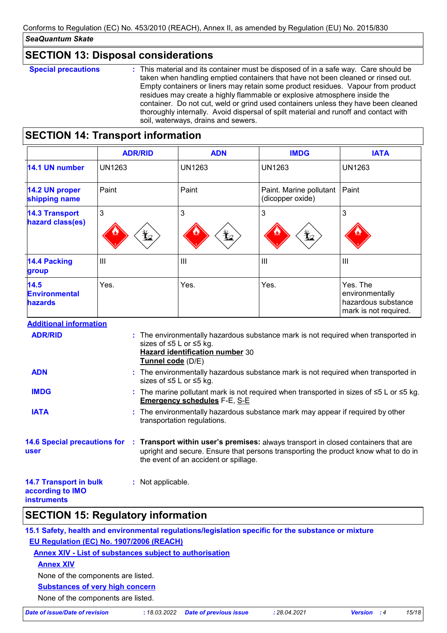### **SECTION 13: Disposal considerations**

**Special precautions :** This material and its container must be disposed of in a safe way. Care should be taken when handling emptied containers that have not been cleaned or rinsed out. Empty containers or liners may retain some product residues. Vapour from product residues may create a highly flammable or explosive atmosphere inside the container. Do not cut, weld or grind used containers unless they have been cleaned thoroughly internally. Avoid dispersal of spilt material and runoff and contact with soil, waterways, drains and sewers.

# **SECTION 14: Transport information**

|                                                | <b>ADR/RID</b>  | <b>ADN</b>          | <b>IMDG</b>                                 | <b>IATA</b>                                                                 |
|------------------------------------------------|-----------------|---------------------|---------------------------------------------|-----------------------------------------------------------------------------|
| 14.1 UN number                                 | <b>UN1263</b>   | UN1263              | <b>UN1263</b>                               | <b>UN1263</b>                                                               |
| 14.2 UN proper<br>shipping name                | Paint           | Paint               | Paint. Marine pollutant<br>(dicopper oxide) | Paint                                                                       |
| <b>14.3 Transport</b><br>hazard class(es)      | 3<br>$\bigstar$ | 3<br>$\mathbf{Y}_2$ | 3<br>$\bigstar$                             | 3                                                                           |
| 14.4 Packing<br>group                          | Ш               | $\mathbf{III}$      | $\mathbf{III}$                              | Ш                                                                           |
| 14.5<br><b>Environmental</b><br><b>hazards</b> | Yes.            | Yes.                | Yes.                                        | Yes. The<br>environmentally<br>hazardous substance<br>mark is not required. |

### **Additional information**

| <b>ADR/RID</b>                                                          | : The environmentally hazardous substance mark is not required when transported in<br>sizes of ≤5 L or ≤5 kg.<br><b>Hazard identification number 30</b><br>Tunnel code (D/E)                                                                    |
|-------------------------------------------------------------------------|-------------------------------------------------------------------------------------------------------------------------------------------------------------------------------------------------------------------------------------------------|
| <b>ADN</b>                                                              | : The environmentally hazardous substance mark is not required when transported in<br>sizes of ≤5 L or ≤5 kg.                                                                                                                                   |
| <b>IMDG</b>                                                             | : The marine pollutant mark is not required when transported in sizes of $\leq 5$ L or $\leq 5$ kg.<br><b>Emergency schedules F-E, S-E</b>                                                                                                      |
| <b>IATA</b>                                                             | : The environmentally hazardous substance mark may appear if required by other<br>transportation regulations.                                                                                                                                   |
| <b>user</b>                                                             | 14.6 Special precautions for : Transport within user's premises: always transport in closed containers that are<br>upright and secure. Ensure that persons transporting the product know what to do in<br>the event of an accident or spillage. |
| <b>14.7 Transport in bulk</b><br>according to IMO<br><b>instruments</b> | : Not applicable.                                                                                                                                                                                                                               |

### **SECTION 15: Regulatory information**

**15.1 Safety, health and environmental regulations/legislation specific for the substance or mixture EU Regulation (EC) No. 1907/2006 (REACH)**

**Annex XIV - List of substances subject to authorisation**

**Annex XIV**

None of the components are listed.

### **Substances of very high concern**

None of the components are listed.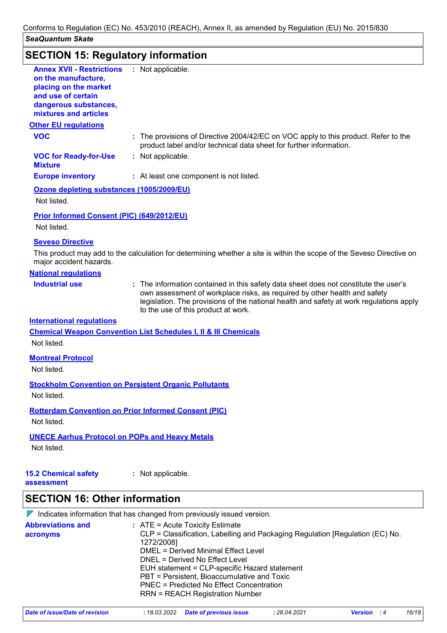# **SECTION 15: Regulatory information**

| on the manufacture,<br>placing on the market<br>and use of certain<br>dangerous substances,<br>mixtures and articles | : Not applicable.                                                                                                                                                                                                                                                                                   |
|----------------------------------------------------------------------------------------------------------------------|-----------------------------------------------------------------------------------------------------------------------------------------------------------------------------------------------------------------------------------------------------------------------------------------------------|
| <b>Other EU regulations</b>                                                                                          |                                                                                                                                                                                                                                                                                                     |
| <b>VOC</b>                                                                                                           | : The provisions of Directive 2004/42/EC on VOC apply to this product. Refer to the<br>product label and/or technical data sheet for further information.                                                                                                                                           |
| <b>VOC for Ready-for-Use</b><br><b>Mixture</b>                                                                       | : Not applicable.                                                                                                                                                                                                                                                                                   |
| <b>Europe inventory</b>                                                                                              | : At least one component is not listed.                                                                                                                                                                                                                                                             |
| Ozone depleting substances (1005/2009/EU)                                                                            |                                                                                                                                                                                                                                                                                                     |
| Not listed.                                                                                                          |                                                                                                                                                                                                                                                                                                     |
| <b>Prior Informed Consent (PIC) (649/2012/EU)</b><br>Not listed.                                                     |                                                                                                                                                                                                                                                                                                     |
| <b>Seveso Directive</b>                                                                                              | This product may add to the calculation for determining whether a site is within the scope of the Seveso Directive on                                                                                                                                                                               |
| major accident hazards.                                                                                              |                                                                                                                                                                                                                                                                                                     |
|                                                                                                                      |                                                                                                                                                                                                                                                                                                     |
|                                                                                                                      |                                                                                                                                                                                                                                                                                                     |
| <b>National regulations</b><br><b>Industrial use</b>                                                                 | : The information contained in this safety data sheet does not constitute the user's<br>own assessment of workplace risks, as required by other health and safety<br>legislation. The provisions of the national health and safety at work regulations apply<br>to the use of this product at work. |
|                                                                                                                      |                                                                                                                                                                                                                                                                                                     |
|                                                                                                                      | <b>Chemical Weapon Convention List Schedules I, II &amp; III Chemicals</b>                                                                                                                                                                                                                          |
| <b>International requlations</b><br>Not listed.                                                                      |                                                                                                                                                                                                                                                                                                     |
| <b>Montreal Protocol</b><br>Not listed.                                                                              |                                                                                                                                                                                                                                                                                                     |
| Not listed.                                                                                                          | <b>Stockholm Convention on Persistent Organic Pollutants</b>                                                                                                                                                                                                                                        |
| Not listed.                                                                                                          | <b>Rotterdam Convention on Prior Informed Consent (PIC)</b>                                                                                                                                                                                                                                         |

# **SECTION 16: Other information**

 $\nabla$  Indicates information that has changed from previously issued version.

| <b>Abbreviations and</b><br>acronyms | $\therefore$ ATE = Acute Toxicity Estimate<br>CLP = Classification, Labelling and Packaging Regulation [Regulation (EC) No.<br>1272/2008]<br>DMEL = Derived Minimal Effect Level<br>DNEL = Derived No Effect Level<br>EUH statement = CLP-specific Hazard statement<br>PBT = Persistent, Bioaccumulative and Toxic<br>PNEC = Predicted No Effect Concentration<br><b>RRN = REACH Registration Number</b> |              |                    |       |
|--------------------------------------|----------------------------------------------------------------------------------------------------------------------------------------------------------------------------------------------------------------------------------------------------------------------------------------------------------------------------------------------------------------------------------------------------------|--------------|--------------------|-------|
| Date of issue/Date of revision       | Date of previous issue<br>:18.03.2022                                                                                                                                                                                                                                                                                                                                                                    | : 28.04.2021 | <b>Version</b> : 4 | 16/18 |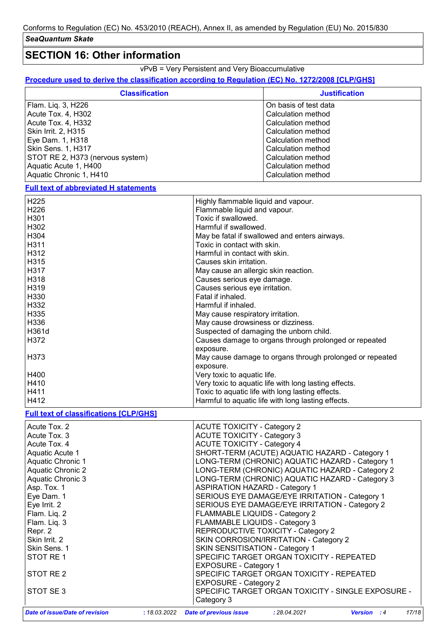# **SECTION 16: Other information**

vPvB = Very Persistent and Very Bioaccumulative

### **Procedure used to derive the classification according to Regulation (EC) No. 1272/2008 [CLP/GHS]**

| <b>Classification</b>            | <b>Justification</b>  |  |
|----------------------------------|-----------------------|--|
| Flam. Liq. 3, H226               | On basis of test data |  |
| Acute Tox. 4, H302               | Calculation method    |  |
| Acute Tox. 4, H332               | Calculation method    |  |
| Skin Irrit. 2, H315              | Calculation method    |  |
| Eye Dam. 1, H318                 | Calculation method    |  |
| Skin Sens. 1, H317               | Calculation method    |  |
| STOT RE 2, H373 (nervous system) | Calculation method    |  |
| Aquatic Acute 1, H400            | Calculation method    |  |
| Aquatic Chronic 1, H410          | Calculation method    |  |

#### **Full text of abbreviated H statements**

| H225                                          | Highly flammable liquid and vapour.                      |
|-----------------------------------------------|----------------------------------------------------------|
| H226                                          | Flammable liquid and vapour.                             |
| H <sub>301</sub>                              | Toxic if swallowed.                                      |
| H302                                          | Harmful if swallowed.                                    |
| H304                                          | May be fatal if swallowed and enters airways.            |
| H311                                          | Toxic in contact with skin.                              |
| H312                                          | Harmful in contact with skin.                            |
| H315                                          | Causes skin irritation.                                  |
| H317                                          | May cause an allergic skin reaction.                     |
| H318                                          | Causes serious eye damage.                               |
| H319                                          | Causes serious eye irritation.                           |
| H330                                          | Fatal if inhaled.                                        |
| H332                                          | Harmful if inhaled.                                      |
| H335                                          | May cause respiratory irritation.                        |
| H336                                          | May cause drowsiness or dizziness.                       |
| H361d                                         | Suspected of damaging the unborn child.                  |
| H372                                          | Causes damage to organs through prolonged or repeated    |
|                                               | exposure.                                                |
| H373                                          | May cause damage to organs through prolonged or repeated |
|                                               | exposure.                                                |
| H400                                          | Very toxic to aquatic life.                              |
| H410                                          | Very toxic to aquatic life with long lasting effects.    |
| H411                                          | Toxic to aquatic life with long lasting effects.         |
| H412                                          | Harmful to aquatic life with long lasting effects.       |
| <b>Full text of classifications [CLP/GHS]</b> |                                                          |
| Acute Tox. 2                                  | <b>ACUTE TOXICITY - Category 2</b>                       |
| Acute Tox, 3                                  | <b>ACUTE TOXICITY - Category 3</b>                       |
| Acute Tox. 4                                  | <b>ACUTE TOXICITY - Category 4</b>                       |
| Aquatic Acute 1                               | SHORT-TERM (ACUTE) AQUATIC HAZARD - Category 1           |
| Aguatio Chronic 1                             | LONO TEDM (CHDONIC) AQUATIC HAZADD. Cotogory 4           |

| Aquatic Acute 1                       |              |                                       | SHORT-TERM (ACUTE) AQUATIC HAZARD - Category 1     |                    |       |
|---------------------------------------|--------------|---------------------------------------|----------------------------------------------------|--------------------|-------|
|                                       |              |                                       |                                                    |                    |       |
| Aquatic Chronic 1                     |              |                                       | LONG-TERM (CHRONIC) AQUATIC HAZARD - Category 1    |                    |       |
| Aquatic Chronic 2                     |              |                                       | LONG-TERM (CHRONIC) AQUATIC HAZARD - Category 2    |                    |       |
| Aquatic Chronic 3                     |              |                                       | LONG-TERM (CHRONIC) AQUATIC HAZARD - Category 3    |                    |       |
| Asp. Tox. 1                           |              | <b>ASPIRATION HAZARD - Category 1</b> |                                                    |                    |       |
| Eye Dam. 1                            |              |                                       | SERIOUS EYE DAMAGE/EYE IRRITATION - Category 1     |                    |       |
| Eye Irrit. 2                          |              |                                       | SERIOUS EYE DAMAGE/EYE IRRITATION - Category 2     |                    |       |
| Flam. Liq. 2                          |              | FLAMMABLE LIQUIDS - Category 2        |                                                    |                    |       |
| Flam. Liq. 3                          |              | <b>FLAMMABLE LIQUIDS - Category 3</b> |                                                    |                    |       |
| Repr. 2                               |              |                                       | REPRODUCTIVE TOXICITY - Category 2                 |                    |       |
| Skin Irrit. 2                         |              |                                       | SKIN CORROSION/IRRITATION - Category 2             |                    |       |
| Skin Sens. 1                          |              | SKIN SENSITISATION - Category 1       |                                                    |                    |       |
| STOT RE1                              |              |                                       | SPECIFIC TARGET ORGAN TOXICITY - REPEATED          |                    |       |
|                                       |              | <b>EXPOSURE - Category 1</b>          |                                                    |                    |       |
| STOT RE 2                             |              |                                       | SPECIFIC TARGET ORGAN TOXICITY - REPEATED          |                    |       |
|                                       |              | <b>EXPOSURE - Category 2</b>          |                                                    |                    |       |
| STOT SE3                              |              |                                       | SPECIFIC TARGET ORGAN TOXICITY - SINGLE EXPOSURE - |                    |       |
|                                       |              | Category 3                            |                                                    |                    |       |
| <b>Date of issue/Date of revision</b> | : 18.03.2022 | <b>Date of previous issue</b>         | : 28.04.2021                                       | <b>Version</b> : 4 | 17/18 |